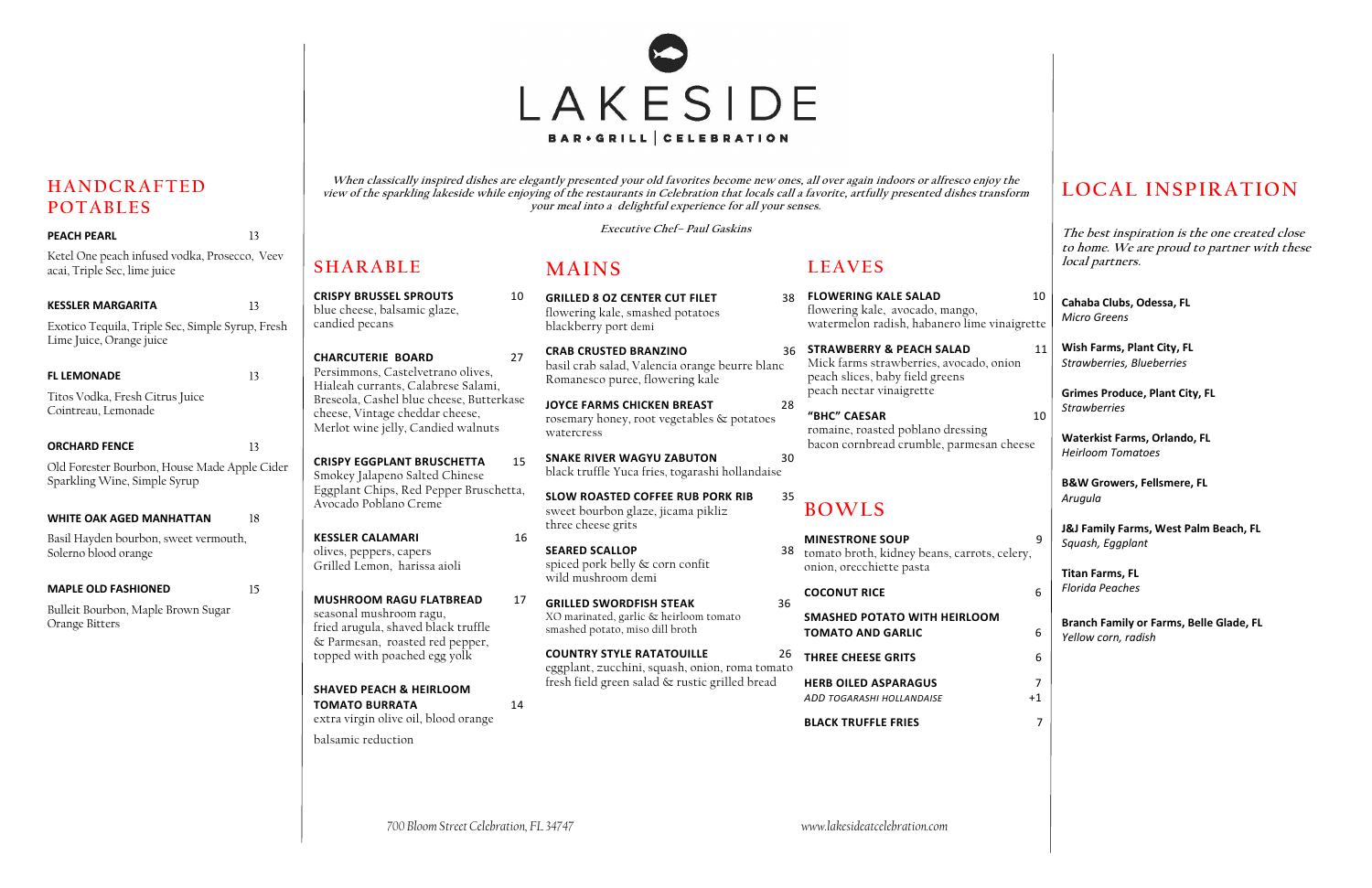**SHARABLECRISPY BRUSSEL SPROUTS**

blue cheese, balsamic glaze,

candied pecans

**CHARCUTERIE BOARD** 27Persimmons, Castelvetrano olives, Hialeah currants, Calabrese Salami, Breseola, Cashel blue cheese, Butterkase

cheese, Vintage cheddar cheese, Merlot wine jelly, Candied walnuts

**CRISPY EGGPLANT BRUSCHETTA** 15

Smokey Jalapeno Salted Chinese

Eggplant Chips, Red Pepper Bruschetta,

Avocado Poblano Creme

**KESSLER CALAMARI** 16

olives, peppers, capers Grilled Lemon, harissa aioli

**MUSHROOM RAGU FLATBREAD**

seasonal mushroom ragu,

fried arugula, shaved black truffle & Parmesan, roasted red pepper, topped with poached egg yolk

**SHAVED PEACH & HEIRLOOM** 

**TOMATO BURRATA**

14

| ۰.<br>i |  |
|---------|--|
| M.      |  |

extra virgin olive oil, blood orange

balsamic reduction

*700 Bloom Street Celebration, FL 34747 www.lakesideatcelebration.com*

# **HANDCRAFTED POTABLES**

 10**GRILLED 8 OZ CENTER CUT FILET**flowering kale, smashed potatoes blackberry port demi

> **SLOW ROASTED COFFEE RUB PORK RIB** sweet bourbon glaze, jicama pikliz three cheese grits

| <b>PEACH PEARL</b>                                                            | 13 |
|-------------------------------------------------------------------------------|----|
| Ketel One peach infused vodka, Prosecco, Veev<br>acai, Triple Sec, lime juice |    |
| <b>KESSLER MARGARITA</b>                                                      | 13 |
| Exotico Tequila, Triple Sec, Simple Syrup, Fresh<br>Lime Juice, Orange juice  |    |
| <b>FL LEMONADE</b>                                                            | 13 |
| Titos Vodka, Fresh Citrus Juice<br>Cointreau, Lemonade                        |    |
| <b>ORCHARD FENCE</b>                                                          | 13 |
| Old Forester Bourbon, House Made Apple Cider<br>Sparkling Wine, Simple Syrup  |    |
| <b>WHITE OAK AGED MANHATTAN</b>                                               | 18 |
| Basil Hayden bourbon, sweet vermouth,<br>Solerno blood orange                 |    |
| <b>MAPLE OLD FASHIONED</b>                                                    | 15 |
| Bulleit Bourbon, Maple Brown Sugar<br>Orange Bitters                          |    |
|                                                                               |    |
|                                                                               |    |
|                                                                               |    |
|                                                                               |    |
|                                                                               |    |
|                                                                               |    |

- tomato broth, kidney beans, carrots, celery, onion, orecchiette pasta
	- **COCONUT RICE**

- **SEARED SCALLOP** spiced pork belly & corn confit wild mushroom demi
- 17 **GRILLED SWORDFISH STEAK** 36XO marinated, garlic & heirloom tomato smashed potato, miso dill broth

### 35 **BOWLS**

## **MINESTRONE SOUP** 9

### **SMASHED POTATO WITH HEIRLOOM TOMATO AND GARLIC** $\begin{array}{ccc} {\mathsf C} & \phantom{\{\bullet}5} & \phantom{\{\bullet}6} \end{array}$



**When classically inspired dishes are elegantly presented your old favorites become new ones, all over again indoors or alfresco enjoy the view of the sparkling lakeside while enjoying of the restaurants in Celebration that locals call a favorite, artfully presented dishes transform your meal into a delightful experience for all your senses.** 

> 10 **Cahaba Clubs, Odessa, FL** *Micro Greens* **Wish Farms, Plant City, FL**  *Strawberries, Blueberries*

**Executive Chef– Paul Gaskins** 

# **MAINS**

**CRAB CRUSTED BRANZINO**basil crab salad, Valencia orange beurre blanc Romanesco puree, flowering kale

**JOYCE FARMS CHICKEN BREAST** 28rosemary honey, root vegetables & potatoes watercress

**SNAKE RIVER WAGYU ZABUTON** 30 black truffle Yuca fries, togarashi hollandaise

- 38**FLOWERING KALE SALAD** 10flowering kale, avocado, mango, watermelon radish, habanero lime vinaigrette
- 36 **STRAWBERRY & PEACH SALAD** 11Mick farms strawberries, avocado, onion peach slices, baby field greens peach nectar vinaigrette

**COUNTRY STYLE RATATOUILLE** 2626 eggplant, zucchini, squash, onion, roma tomato fresh field green salad & rustic grilled bread

**LEAVES** 

## **"BHC" CAESAR** 10

romaine, roasted poblano dressing bacon cornbread crumble, parmesan cheese

**THREE CHEESE GRITS** 6

**HERB OILED ASPARAGUS** 7*ADD TOGARASHI HOLLANDAISE* +1

### **BLACK TRUFFLE FRIES** 7

# **LOCAL INSPIRATION**

**The best inspiration is the one created close to home. We are proud to partner with these local partners.** 

**Grimes Produce, Plant City, FL**  *Strawberries*

**Waterkist Farms, Orlando, FL**  *Heirloom Tomatoes*

**B&W Growers, Fellsmere, FL**  *Arugula*

**J&J Family Farms, West Palm Beach, FL**  *Squash, Eggplant*

**Titan Farms, FL**  *Florida Peaches*

**Branch Family or Farms, Belle Glade, FL**  *Yellow corn, radish*

 $6\phantom{a}$